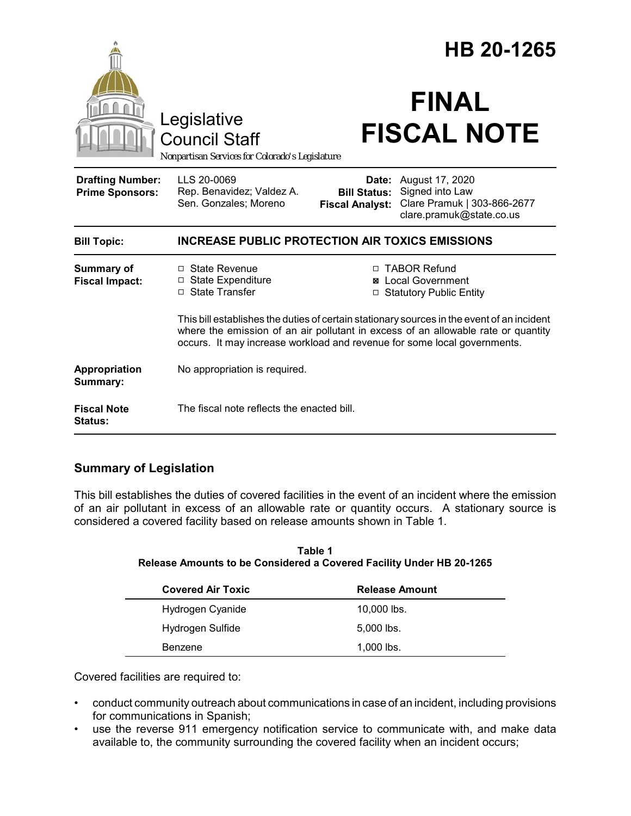|                                                   |                                                                                                                                                                                                                                                             |                                                        | HB 20-1265                                                                                    |  |
|---------------------------------------------------|-------------------------------------------------------------------------------------------------------------------------------------------------------------------------------------------------------------------------------------------------------------|--------------------------------------------------------|-----------------------------------------------------------------------------------------------|--|
|                                                   | Legislative<br><b>Council Staff</b><br>Nonpartisan Services for Colorado's Legislature                                                                                                                                                                      |                                                        | <b>FINAL</b><br><b>FISCAL NOTE</b>                                                            |  |
| <b>Drafting Number:</b><br><b>Prime Sponsors:</b> | LLS 20-0069<br>Rep. Benavidez; Valdez A.<br>Sen. Gonzales; Moreno                                                                                                                                                                                           | Date:<br><b>Bill Status:</b><br><b>Fiscal Analyst:</b> | August 17, 2020<br>Signed into Law<br>Clare Pramuk   303-866-2677<br>clare.pramuk@state.co.us |  |
| <b>Bill Topic:</b>                                | <b>INCREASE PUBLIC PROTECTION AIR TOXICS EMISSIONS</b>                                                                                                                                                                                                      |                                                        |                                                                                               |  |
| <b>Summary of</b><br><b>Fiscal Impact:</b>        | □ State Revenue<br>□ State Expenditure<br>□ State Transfer                                                                                                                                                                                                  |                                                        | □ TABOR Refund<br><b>⊠</b> Local Government<br>□ Statutory Public Entity                      |  |
|                                                   | This bill establishes the duties of certain stationary sources in the event of an incident<br>where the emission of an air pollutant in excess of an allowable rate or quantity<br>occurs. It may increase workload and revenue for some local governments. |                                                        |                                                                                               |  |
| Appropriation<br>Summary:                         | No appropriation is required.                                                                                                                                                                                                                               |                                                        |                                                                                               |  |
| <b>Fiscal Note</b><br>Status:                     | The fiscal note reflects the enacted bill.                                                                                                                                                                                                                  |                                                        |                                                                                               |  |

# **Summary of Legislation**

This bill establishes the duties of covered facilities in the event of an incident where the emission of an air pollutant in excess of an allowable rate or quantity occurs. A stationary source is considered a covered facility based on release amounts shown in Table 1.

| Table 1                                                                     |
|-----------------------------------------------------------------------------|
| <b>Release Amounts to be Considered a Covered Facility Under HB 20-1265</b> |

| <b>Covered Air Toxic</b> | <b>Release Amount</b> |
|--------------------------|-----------------------|
| Hydrogen Cyanide         | $10,000$ lbs.         |
| Hydrogen Sulfide         | $5,000$ lbs.          |
| Benzene                  | $1,000$ lbs.          |

Covered facilities are required to:

- conduct community outreach about communications in case of an incident, including provisions for communications in Spanish;
- use the reverse 911 emergency notification service to communicate with, and make data available to, the community surrounding the covered facility when an incident occurs;